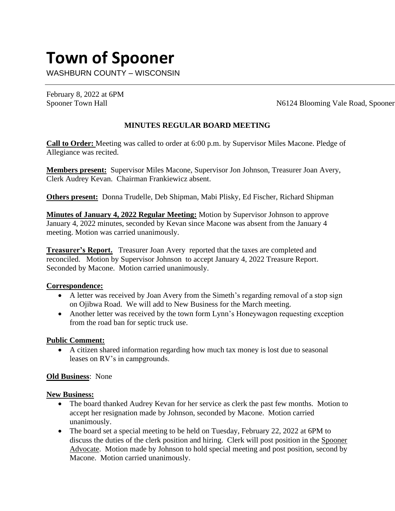# **Town of Spooner**

WASHBURN COUNTY – WISCONSIN

February 8, 2022 at 6PM

Spooner Town Hall N6124 Blooming Vale Road, Spooner

# **MINUTES REGULAR BOARD MEETING**

**Call to Order:** Meeting was called to order at 6:00 p.m. by Supervisor Miles Macone. Pledge of Allegiance was recited.

**Members present:** Supervisor Miles Macone, Supervisor Jon Johnson, Treasurer Joan Avery, Clerk Audrey Kevan. Chairman Frankiewicz absent.

**Others present:** Donna Trudelle, Deb Shipman, Mabi Plisky, Ed Fischer, Richard Shipman

**Minutes of January 4, 2022 Regular Meeting:** Motion by Supervisor Johnson to approve January 4, 2022 minutes, seconded by Kevan since Macone was absent from the January 4 meeting. Motion was carried unanimously.

**Treasurer's Report.** Treasurer Joan Avery reported that the taxes are completed and reconciled. Motion by Supervisor Johnson to accept January 4, 2022 Treasure Report. Seconded by Macone. Motion carried unanimously.

### **Correspondence:**

- A letter was received by Joan Avery from the Simeth's regarding removal of a stop sign on Ojibwa Road. We will add to New Business for the March meeting.
- Another letter was received by the town form Lynn's Honeywagon requesting exception from the road ban for septic truck use.

### **Public Comment:**

• A citizen shared information regarding how much tax money is lost due to seasonal leases on RV's in campgrounds.

## **Old Business**: None

### **New Business:**

- The board thanked Audrey Kevan for her service as clerk the past few months. Motion to accept her resignation made by Johnson, seconded by Macone. Motion carried unanimously.
- The board set a special meeting to be held on Tuesday, February 22, 2022 at 6PM to discuss the duties of the clerk position and hiring. Clerk will post position in the Spooner Advocate. Motion made by Johnson to hold special meeting and post position, second by Macone. Motion carried unanimously.